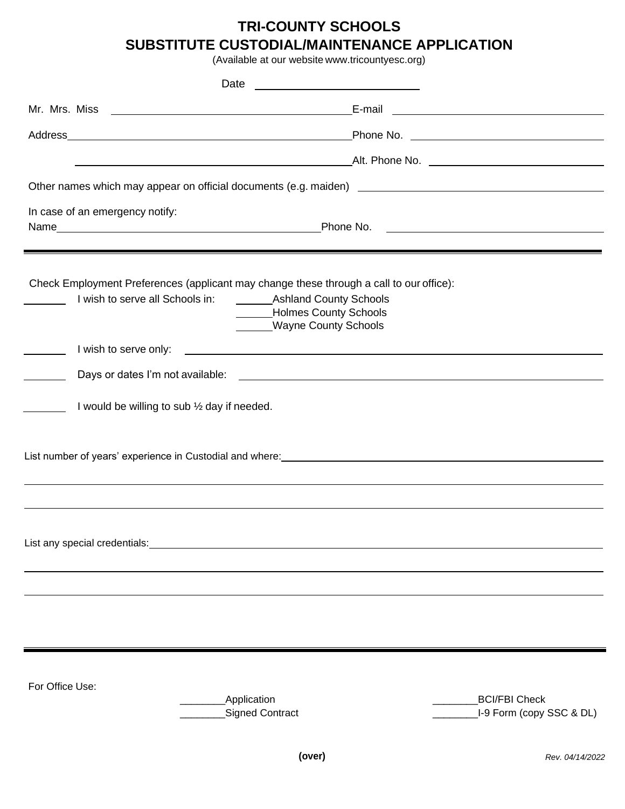# **TRI-COUNTY SCHOOLS SUBSTITUTE CUSTODIAL/MAINTENANCE APPLICATION**

(Available at our website www.tricountyesc.org)

| Date                                                     |                                                                                                                                                                                                                                                                                              |                      |
|----------------------------------------------------------|----------------------------------------------------------------------------------------------------------------------------------------------------------------------------------------------------------------------------------------------------------------------------------------------|----------------------|
| Mr. Mrs. Miss                                            |                                                                                                                                                                                                                                                                                              |                      |
|                                                          |                                                                                                                                                                                                                                                                                              |                      |
|                                                          | Alt. Phone No. 2006. 2006. 2006. 2007. Alt. Phone No. 2008. 2009. 2014. 2016. 2017. 2018. 2019. 2019. 2019. 20                                                                                                                                                                               |                      |
|                                                          |                                                                                                                                                                                                                                                                                              |                      |
| In case of an emergency notify:                          |                                                                                                                                                                                                                                                                                              |                      |
| I wish to serve all Schools in:<br>I wish to serve only: | <u> 1989 - Andrea Andrew Maria (h. 1989).</u><br>Check Employment Preferences (applicant may change these through a call to our office):<br><b>Ashland County Schools</b><br>Holmes County Schools<br><b>Wayne County Schools</b><br><u> 1989 - Johann Barnett, fransk politik (d. 1989)</u> |                      |
|                                                          |                                                                                                                                                                                                                                                                                              |                      |
| I would be willing to sub 1/2 day if needed.             |                                                                                                                                                                                                                                                                                              |                      |
|                                                          | List number of years' experience in Custodial and where: experience of the control of the control of the control of                                                                                                                                                                          |                      |
|                                                          |                                                                                                                                                                                                                                                                                              |                      |
|                                                          |                                                                                                                                                                                                                                                                                              |                      |
| For Office Use:                                          | <b>Application</b>                                                                                                                                                                                                                                                                           | <b>BCI/FBI Check</b> |

Lackground Contract Contract Contract Contract Contract Contract Contract Contract Contract Contract Contract Contract Contract Contract Contract Contract Contract Contract Contract Contract Contract Contract Contract Cont